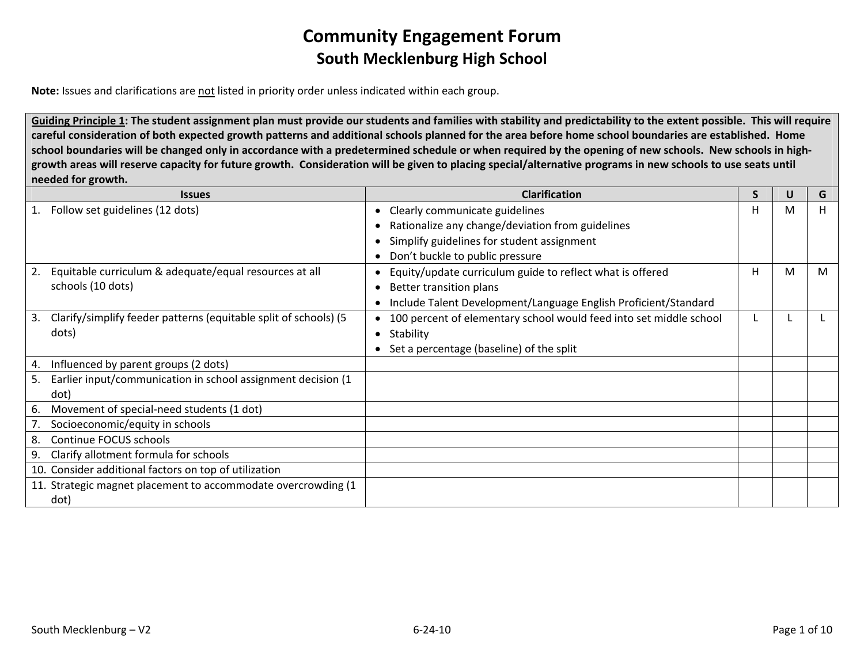**Note:** Issues and clarifications are <u>not</u> listed in priority order unless indicated within each group.

Guiding Principle 1: The student assignment plan must provide our students and families with stability and predictability to the extent possible. This will require careful consideration of both expected growth patterns and additional schools planned for the area before home school boundaries are established. Home school boundaries will be changed only in accordance with a predetermined schedule or when required by the opening of new schools. New schools in highgrowth areas will reserve capacity for future growth. Consideration will be given to placing special/alternative programs in new schools to use seats until **needed for growth.**

| <b>Issues</b>                                                          | <b>Clarification</b>                                               | S | U | G  |
|------------------------------------------------------------------------|--------------------------------------------------------------------|---|---|----|
| Follow set guidelines (12 dots)<br>1.                                  | Clearly communicate guidelines                                     | н | м | H. |
|                                                                        | Rationalize any change/deviation from guidelines                   |   |   |    |
|                                                                        | Simplify guidelines for student assignment                         |   |   |    |
|                                                                        | Don't buckle to public pressure                                    |   |   |    |
| Equitable curriculum & adequate/equal resources at all<br>2.           | Equity/update curriculum guide to reflect what is offered          | H | м | M  |
| schools (10 dots)                                                      | Better transition plans                                            |   |   |    |
|                                                                        | Include Talent Development/Language English Proficient/Standard    |   |   |    |
| Clarify/simplify feeder patterns (equitable split of schools) (5<br>3. | 100 percent of elementary school would feed into set middle school |   |   |    |
| dots)                                                                  | Stability                                                          |   |   |    |
|                                                                        | Set a percentage (baseline) of the split                           |   |   |    |
| Influenced by parent groups (2 dots)<br>4.                             |                                                                    |   |   |    |
| Earlier input/communication in school assignment decision (1<br>5.     |                                                                    |   |   |    |
| dot)                                                                   |                                                                    |   |   |    |
| Movement of special-need students (1 dot)<br>6.                        |                                                                    |   |   |    |
| Socioeconomic/equity in schools                                        |                                                                    |   |   |    |
| Continue FOCUS schools<br>8.                                           |                                                                    |   |   |    |
| Clarify allotment formula for schools<br>9.                            |                                                                    |   |   |    |
| 10. Consider additional factors on top of utilization                  |                                                                    |   |   |    |
| 11. Strategic magnet placement to accommodate overcrowding (1          |                                                                    |   |   |    |
| dot)                                                                   |                                                                    |   |   |    |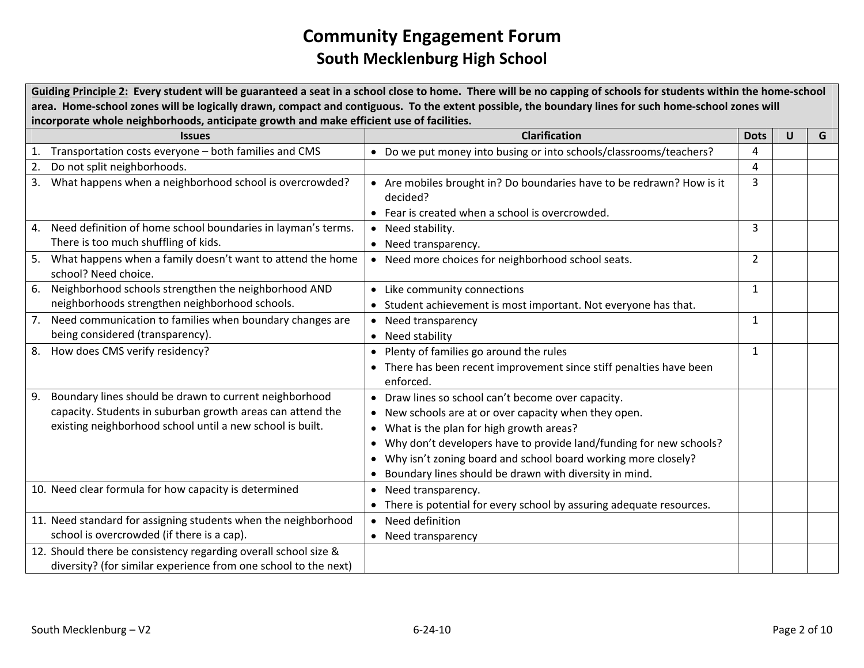Guiding Principle 2: Every student will be guaranteed a seat in a school close to home. There will be no capping of schools for students within the home-school area. Home-school zones will be logically drawn, compact and contiguous. To the extent possible, the boundary lines for such home-school zones will **incorporate whole neighborhoods, anticipate growth and make efficient use of facilities.**

|    | <b>Issues</b>                                                   | <b>Clarification</b>                                                  | <b>Dots</b>    | U | G |
|----|-----------------------------------------------------------------|-----------------------------------------------------------------------|----------------|---|---|
|    | 1. Transportation costs everyone - both families and CMS        | • Do we put money into busing or into schools/classrooms/teachers?    | 4              |   |   |
| 2. | Do not split neighborhoods.                                     |                                                                       | 4              |   |   |
| 3. | What happens when a neighborhood school is overcrowded?         | • Are mobiles brought in? Do boundaries have to be redrawn? How is it | 3              |   |   |
|    |                                                                 | decided?                                                              |                |   |   |
|    |                                                                 | • Fear is created when a school is overcrowded.                       |                |   |   |
| 4. | Need definition of home school boundaries in layman's terms.    | • Need stability.                                                     | 3              |   |   |
|    | There is too much shuffling of kids.                            | • Need transparency.                                                  |                |   |   |
| 5. | What happens when a family doesn't want to attend the home      | • Need more choices for neighborhood school seats.                    | $\overline{2}$ |   |   |
|    | school? Need choice.                                            |                                                                       |                |   |   |
| 6. | Neighborhood schools strengthen the neighborhood AND            | • Like community connections                                          | $\mathbf{1}$   |   |   |
|    | neighborhoods strengthen neighborhood schools.                  | • Student achievement is most important. Not everyone has that.       |                |   |   |
| 7. | Need communication to families when boundary changes are        | • Need transparency                                                   | $\mathbf{1}$   |   |   |
|    | being considered (transparency).                                | • Need stability                                                      |                |   |   |
| 8. | How does CMS verify residency?                                  | • Plenty of families go around the rules                              | 1              |   |   |
|    |                                                                 | • There has been recent improvement since stiff penalties have been   |                |   |   |
|    |                                                                 | enforced.                                                             |                |   |   |
| 9. | Boundary lines should be drawn to current neighborhood          | • Draw lines so school can't become over capacity.                    |                |   |   |
|    | capacity. Students in suburban growth areas can attend the      | • New schools are at or over capacity when they open.                 |                |   |   |
|    | existing neighborhood school until a new school is built.       | • What is the plan for high growth areas?                             |                |   |   |
|    |                                                                 | • Why don't developers have to provide land/funding for new schools?  |                |   |   |
|    |                                                                 | • Why isn't zoning board and school board working more closely?       |                |   |   |
|    |                                                                 | • Boundary lines should be drawn with diversity in mind.              |                |   |   |
|    | 10. Need clear formula for how capacity is determined           | • Need transparency.                                                  |                |   |   |
|    |                                                                 | • There is potential for every school by assuring adequate resources. |                |   |   |
|    | 11. Need standard for assigning students when the neighborhood  | • Need definition                                                     |                |   |   |
|    | school is overcrowded (if there is a cap).                      | • Need transparency                                                   |                |   |   |
|    | 12. Should there be consistency regarding overall school size & |                                                                       |                |   |   |
|    | diversity? (for similar experience from one school to the next) |                                                                       |                |   |   |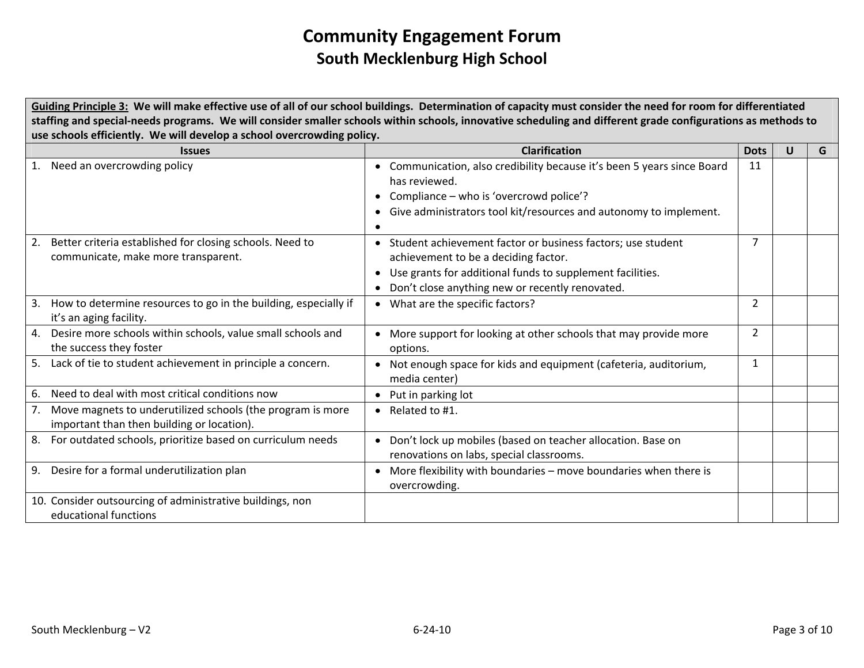Guiding Principle 3: We will make effective use of all of our school buildings. Determination of capacity must consider the need for room for differentiated staffing and special-needs programs. We will consider smaller schools within schools, innovative scheduling and different grade configurations as methods to **use schools efficiently. We will develop <sup>a</sup> school overcrowding policy.**

| <b>Issues</b>                                                                                                  | <b>Clarification</b>                                                                                                                                                                                                  | <b>Dots</b>    | U | G |
|----------------------------------------------------------------------------------------------------------------|-----------------------------------------------------------------------------------------------------------------------------------------------------------------------------------------------------------------------|----------------|---|---|
| Need an overcrowding policy<br>1.                                                                              | Communication, also credibility because it's been 5 years since Board<br>$\bullet$<br>has reviewed.<br>Compliance – who is 'overcrowd police'?<br>Give administrators tool kit/resources and autonomy to implement.   | 11             |   |   |
| Better criteria established for closing schools. Need to<br>2.<br>communicate, make more transparent.          | • Student achievement factor or business factors; use student<br>achievement to be a deciding factor.<br>Use grants for additional funds to supplement facilities.<br>Don't close anything new or recently renovated. | 7              |   |   |
| How to determine resources to go in the building, especially if<br>3.<br>it's an aging facility.               | • What are the specific factors?                                                                                                                                                                                      | $\overline{2}$ |   |   |
| Desire more schools within schools, value small schools and<br>4.<br>the success they foster                   | More support for looking at other schools that may provide more<br>options.                                                                                                                                           | 2              |   |   |
| Lack of tie to student achievement in principle a concern.<br>5.                                               | Not enough space for kids and equipment (cafeteria, auditorium,<br>media center)                                                                                                                                      | 1              |   |   |
| Need to deal with most critical conditions now<br>6.                                                           | Put in parking lot<br>$\bullet$                                                                                                                                                                                       |                |   |   |
| Move magnets to underutilized schools (the program is more<br>7.<br>important than then building or location). | • Related to $#1$ .                                                                                                                                                                                                   |                |   |   |
| For outdated schools, prioritize based on curriculum needs<br>8.                                               | Don't lock up mobiles (based on teacher allocation. Base on<br>$\bullet$<br>renovations on labs, special classrooms.                                                                                                  |                |   |   |
| Desire for a formal underutilization plan<br>9.                                                                | More flexibility with boundaries - move boundaries when there is<br>overcrowding.                                                                                                                                     |                |   |   |
| 10. Consider outsourcing of administrative buildings, non<br>educational functions                             |                                                                                                                                                                                                                       |                |   |   |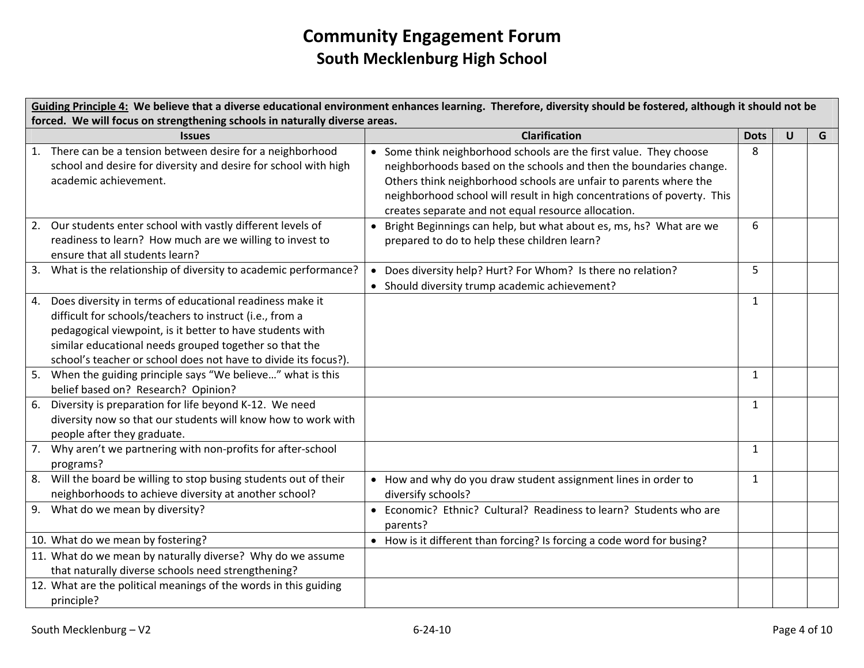Guiding Principle 4: We believe that a diverse educational environment enhances learning. Therefore, diversity should be fostered, although it should not be **forced. We will focus on strengthening schools in naturally diverse areas.**

|    | <b>Issues</b>                                                    |           | <b>Clarification</b>                                                    | <b>Dots</b>  | $\mathbf U$ | G |
|----|------------------------------------------------------------------|-----------|-------------------------------------------------------------------------|--------------|-------------|---|
|    | 1. There can be a tension between desire for a neighborhood      |           | • Some think neighborhood schools are the first value. They choose      | 8            |             |   |
|    | school and desire for diversity and desire for school with high  |           | neighborhoods based on the schools and then the boundaries change.      |              |             |   |
|    | academic achievement.                                            |           | Others think neighborhood schools are unfair to parents where the       |              |             |   |
|    |                                                                  |           | neighborhood school will result in high concentrations of poverty. This |              |             |   |
|    |                                                                  |           | creates separate and not equal resource allocation.                     |              |             |   |
| 2. | Our students enter school with vastly different levels of        |           | • Bright Beginnings can help, but what about es, ms, hs? What are we    | 6            |             |   |
|    | readiness to learn? How much are we willing to invest to         |           | prepared to do to help these children learn?                            |              |             |   |
|    | ensure that all students learn?                                  |           |                                                                         |              |             |   |
| 3. | What is the relationship of diversity to academic performance?   | $\bullet$ | Does diversity help? Hurt? For Whom? Is there no relation?              | 5            |             |   |
|    |                                                                  |           | • Should diversity trump academic achievement?                          |              |             |   |
| 4. | Does diversity in terms of educational readiness make it         |           |                                                                         | $\mathbf{1}$ |             |   |
|    | difficult for schools/teachers to instruct (i.e., from a         |           |                                                                         |              |             |   |
|    | pedagogical viewpoint, is it better to have students with        |           |                                                                         |              |             |   |
|    | similar educational needs grouped together so that the           |           |                                                                         |              |             |   |
|    | school's teacher or school does not have to divide its focus?).  |           |                                                                         |              |             |   |
|    | When the guiding principle says "We believe" what is this        |           |                                                                         | 1            |             |   |
|    | belief based on? Research? Opinion?                              |           |                                                                         |              |             |   |
| 6. | Diversity is preparation for life beyond K-12. We need           |           |                                                                         | $\mathbf{1}$ |             |   |
|    | diversity now so that our students will know how to work with    |           |                                                                         |              |             |   |
|    | people after they graduate.                                      |           |                                                                         |              |             |   |
| 7. | Why aren't we partnering with non-profits for after-school       |           |                                                                         | 1            |             |   |
|    | programs?                                                        |           |                                                                         |              |             |   |
| 8. | Will the board be willing to stop busing students out of their   |           | • How and why do you draw student assignment lines in order to          | $\mathbf{1}$ |             |   |
|    | neighborhoods to achieve diversity at another school?            |           | diversify schools?                                                      |              |             |   |
| 9. | What do we mean by diversity?                                    |           | • Economic? Ethnic? Cultural? Readiness to learn? Students who are      |              |             |   |
|    |                                                                  |           | parents?                                                                |              |             |   |
|    | 10. What do we mean by fostering?                                |           | • How is it different than forcing? Is forcing a code word for busing?  |              |             |   |
|    | 11. What do we mean by naturally diverse? Why do we assume       |           |                                                                         |              |             |   |
|    | that naturally diverse schools need strengthening?               |           |                                                                         |              |             |   |
|    | 12. What are the political meanings of the words in this guiding |           |                                                                         |              |             |   |
|    | principle?                                                       |           |                                                                         |              |             |   |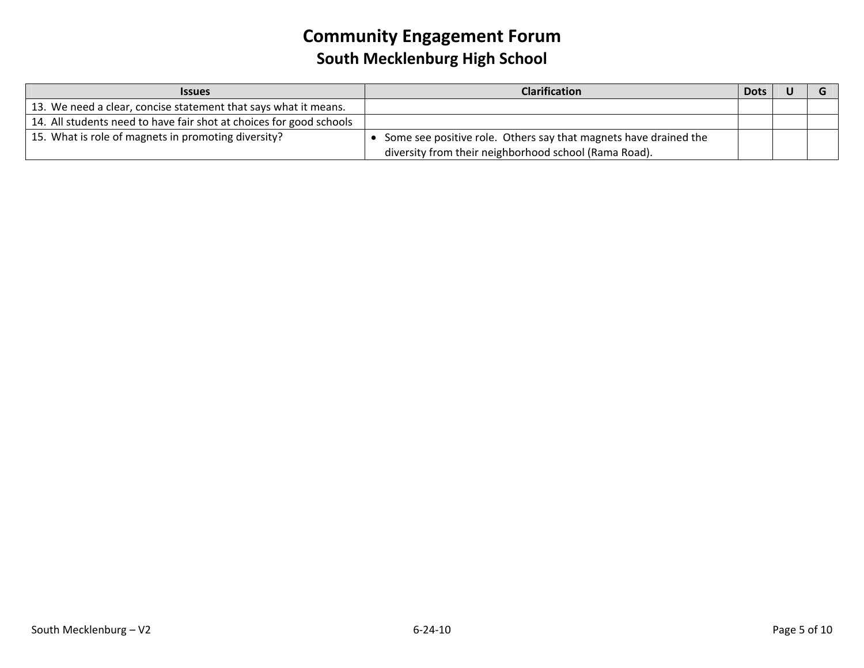| <b>Issues</b>                                                       | <b>Clarification</b>                                             | <b>Dots</b> |  |
|---------------------------------------------------------------------|------------------------------------------------------------------|-------------|--|
| 13. We need a clear, concise statement that says what it means.     |                                                                  |             |  |
| 14. All students need to have fair shot at choices for good schools |                                                                  |             |  |
| 15. What is role of magnets in promoting diversity?                 | Some see positive role. Others say that magnets have drained the |             |  |
|                                                                     | diversity from their neighborhood school (Rama Road).            |             |  |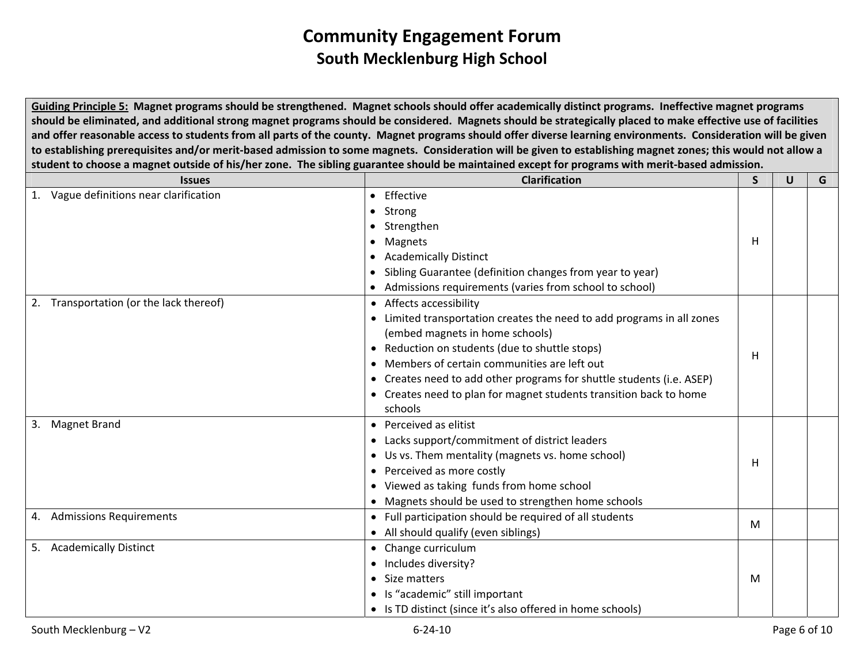Guiding Principle 5: Magnet programs should be strengthened. Magnet schools should offer academically distinct programs. Ineffective magnet programs should be eliminated, and additional strong magnet programs should be considered. Magnets should be strategically placed to make effective use of facilities and offer reasonable access to students from all parts of the county. Magnet programs should offer diverse learning environments. Consideration will be given to establishing prerequisites and/or merit-based admission to some magnets. Consideration will be given to establishing magnet zones; this would not allow a student to choose a magnet outside of his/her zone. The sibling guarantee should be maintained except for programs with merit-based admission.

| <b>Clarification</b>                                                   | S  | U            | G |
|------------------------------------------------------------------------|----|--------------|---|
| • Effective                                                            |    |              |   |
| • Strong                                                               |    |              |   |
| • Strengthen                                                           |    |              |   |
| • Magnets                                                              | H. |              |   |
| <b>Academically Distinct</b>                                           |    |              |   |
| Sibling Guarantee (definition changes from year to year)               |    |              |   |
| • Admissions requirements (varies from school to school)               |    |              |   |
| • Affects accessibility                                                |    |              |   |
| • Limited transportation creates the need to add programs in all zones |    |              |   |
| (embed magnets in home schools)                                        |    |              |   |
| • Reduction on students (due to shuttle stops)                         |    |              |   |
| • Members of certain communities are left out                          |    |              |   |
| • Creates need to add other programs for shuttle students (i.e. ASEP)  |    |              |   |
| • Creates need to plan for magnet students transition back to home     |    |              |   |
| schools                                                                |    |              |   |
| • Perceived as elitist                                                 |    |              |   |
| • Lacks support/commitment of district leaders                         |    |              |   |
| • Us vs. Them mentality (magnets vs. home school)                      |    |              |   |
| • Perceived as more costly                                             |    |              |   |
| • Viewed as taking funds from home school                              |    |              |   |
| • Magnets should be used to strengthen home schools                    |    |              |   |
| • Full participation should be required of all students                |    |              |   |
| • All should qualify (even siblings)                                   |    |              |   |
| • Change curriculum                                                    |    |              |   |
| • Includes diversity?                                                  |    |              |   |
| • Size matters                                                         | M  |              |   |
| • Is "academic" still important                                        |    |              |   |
| • Is TD distinct (since it's also offered in home schools)             |    |              |   |
|                                                                        |    | H.<br>н<br>м |   |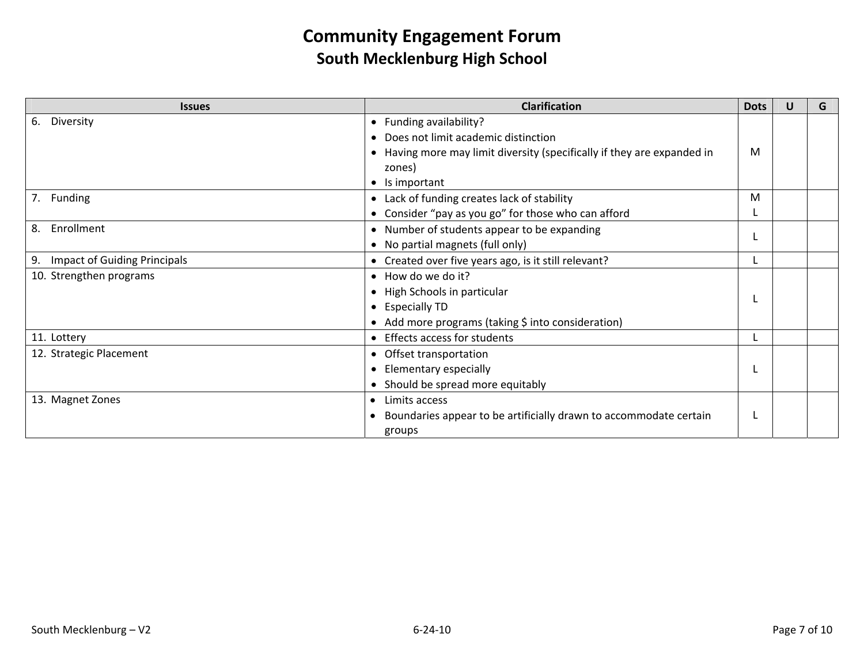| <b>Issues</b>                   | <b>Clarification</b>                                                    | <b>Dots</b> | U | G |
|---------------------------------|-------------------------------------------------------------------------|-------------|---|---|
| Diversity<br>6.                 | • Funding availability?                                                 |             |   |   |
|                                 | • Does not limit academic distinction                                   |             |   |   |
|                                 | • Having more may limit diversity (specifically if they are expanded in | M           |   |   |
|                                 | zones)                                                                  |             |   |   |
|                                 | $\bullet$ Is important                                                  |             |   |   |
| 7. Funding                      | • Lack of funding creates lack of stability                             | M           |   |   |
|                                 | • Consider "pay as you go" for those who can afford                     |             |   |   |
| 8. Enrollment                   | • Number of students appear to be expanding                             |             |   |   |
|                                 | • No partial magnets (full only)                                        |             |   |   |
| 9. Impact of Guiding Principals | • Created over five years ago, is it still relevant?                    |             |   |   |
| 10. Strengthen programs         | • How do we do it?                                                      |             |   |   |
|                                 | • High Schools in particular                                            |             |   |   |
|                                 | • Especially TD                                                         |             |   |   |
|                                 | • Add more programs (taking \$ into consideration)                      |             |   |   |
| 11. Lottery                     | • Effects access for students                                           |             |   |   |
| 12. Strategic Placement         | • Offset transportation                                                 |             |   |   |
|                                 | • Elementary especially                                                 |             |   |   |
|                                 | • Should be spread more equitably                                       |             |   |   |
| 13. Magnet Zones                | Limits access<br>$\bullet$                                              |             |   |   |
|                                 | Boundaries appear to be artificially drawn to accommodate certain       |             |   |   |
|                                 | groups                                                                  |             |   |   |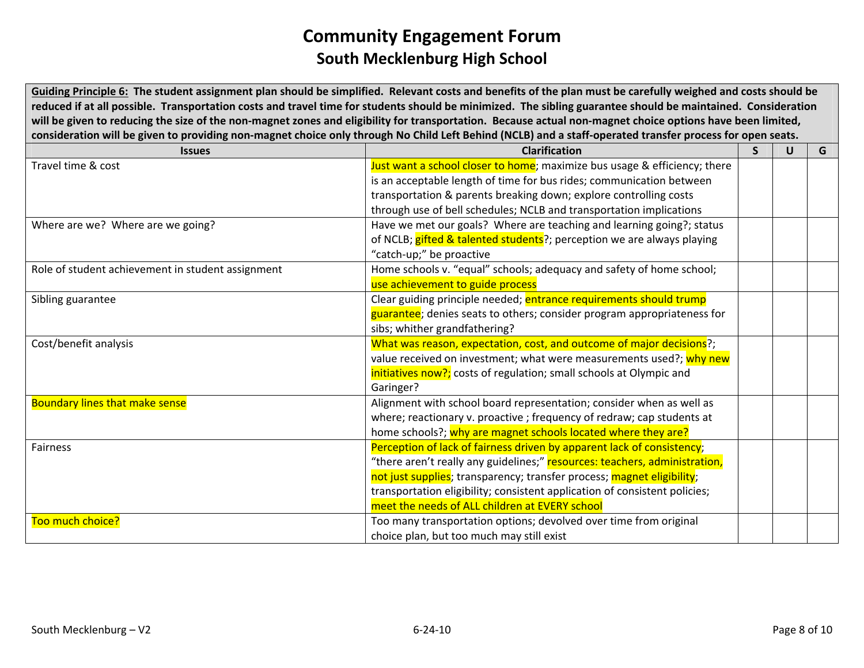Guiding Principle 6: The student assignment plan should be simplified. Relevant costs and benefits of the plan must be carefully weighed and costs should be reduced if at all possible. Transportation costs and travel time for students should be minimized. The sibling guarantee should be maintained. Consideration will be given to reducing the size of the non-magnet zones and eligibility for transportation. Because actual non-magnet choice options have been limited, consideration will be given to providing non-magnet choice only through No Child Left Behind (NCLB) and a staff-operated transfer process for open seats.

| <b>Issues</b>                                     | <b>Clarification</b>                                                       | $\mathbf{S}$ | U | G |
|---------------------------------------------------|----------------------------------------------------------------------------|--------------|---|---|
| Travel time & cost                                | Just want a school closer to home; maximize bus usage & efficiency; there  |              |   |   |
|                                                   | is an acceptable length of time for bus rides; communication between       |              |   |   |
|                                                   | transportation & parents breaking down; explore controlling costs          |              |   |   |
|                                                   | through use of bell schedules; NCLB and transportation implications        |              |   |   |
| Where are we? Where are we going?                 | Have we met our goals? Where are teaching and learning going?; status      |              |   |   |
|                                                   | of NCLB; gifted & talented students?; perception we are always playing     |              |   |   |
|                                                   | "catch-up;" be proactive                                                   |              |   |   |
| Role of student achievement in student assignment | Home schools v. "equal" schools; adequacy and safety of home school;       |              |   |   |
|                                                   | use achievement to guide process                                           |              |   |   |
| Sibling guarantee                                 | Clear guiding principle needed; entrance requirements should trump         |              |   |   |
|                                                   | guarantee; denies seats to others; consider program appropriateness for    |              |   |   |
|                                                   | sibs; whither grandfathering?                                              |              |   |   |
| Cost/benefit analysis                             | What was reason, expectation, cost, and outcome of major decisions?;       |              |   |   |
|                                                   | value received on investment; what were measurements used?; why new        |              |   |   |
|                                                   | initiatives now?; costs of regulation; small schools at Olympic and        |              |   |   |
|                                                   | Garinger?                                                                  |              |   |   |
| <b>Boundary lines that make sense</b>             | Alignment with school board representation; consider when as well as       |              |   |   |
|                                                   | where; reactionary v. proactive ; frequency of redraw; cap students at     |              |   |   |
|                                                   | home schools?; why are magnet schools located where they are?              |              |   |   |
| Fairness                                          | Perception of lack of fairness driven by apparent lack of consistency;     |              |   |   |
|                                                   | "there aren't really any guidelines;" resources: teachers, administration, |              |   |   |
|                                                   | not just supplies; transparency; transfer process; magnet eligibility;     |              |   |   |
|                                                   | transportation eligibility; consistent application of consistent policies; |              |   |   |
|                                                   | meet the needs of ALL children at EVERY school                             |              |   |   |
| Too much choice?                                  | Too many transportation options; devolved over time from original          |              |   |   |
|                                                   | choice plan, but too much may still exist                                  |              |   |   |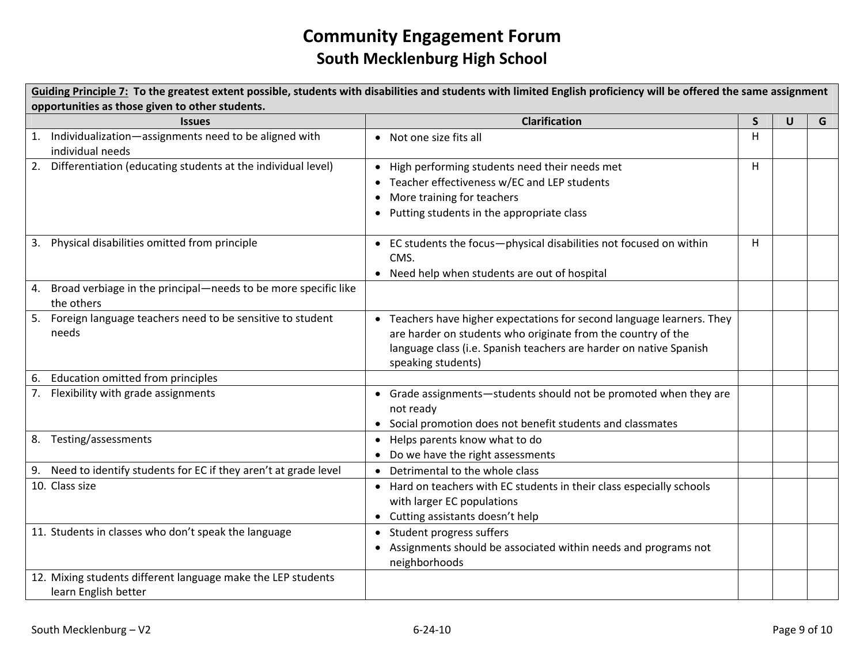| Guiding Principle 7: To the greatest extent possible, students with disabilities and students with limited English proficiency will be offered the same assignment |                                                                                                                                                                                                                                    |              |              |   |  |  |  |  |
|--------------------------------------------------------------------------------------------------------------------------------------------------------------------|------------------------------------------------------------------------------------------------------------------------------------------------------------------------------------------------------------------------------------|--------------|--------------|---|--|--|--|--|
| opportunities as those given to other students.                                                                                                                    |                                                                                                                                                                                                                                    |              |              |   |  |  |  |  |
| <b>Issues</b>                                                                                                                                                      | <b>Clarification</b>                                                                                                                                                                                                               | $\mathsf{S}$ | $\mathsf{U}$ | G |  |  |  |  |
| 1. Individualization-assignments need to be aligned with<br>individual needs                                                                                       | Not one size fits all<br>$\bullet$                                                                                                                                                                                                 | H            |              |   |  |  |  |  |
| 2. Differentiation (educating students at the individual level)                                                                                                    | High performing students need their needs met<br>Teacher effectiveness w/EC and LEP students<br>More training for teachers<br>Putting students in the appropriate class                                                            | H            |              |   |  |  |  |  |
| 3. Physical disabilities omitted from principle                                                                                                                    | EC students the focus-physical disabilities not focused on within<br>CMS.<br>• Need help when students are out of hospital                                                                                                         | н            |              |   |  |  |  |  |
| 4. Broad verbiage in the principal-needs to be more specific like<br>the others                                                                                    |                                                                                                                                                                                                                                    |              |              |   |  |  |  |  |
| 5. Foreign language teachers need to be sensitive to student<br>needs                                                                                              | • Teachers have higher expectations for second language learners. They<br>are harder on students who originate from the country of the<br>language class (i.e. Spanish teachers are harder on native Spanish<br>speaking students) |              |              |   |  |  |  |  |
| 6. Education omitted from principles                                                                                                                               |                                                                                                                                                                                                                                    |              |              |   |  |  |  |  |
| 7. Flexibility with grade assignments                                                                                                                              | Grade assignments-students should not be promoted when they are<br>$\bullet$<br>not ready<br>• Social promotion does not benefit students and classmates                                                                           |              |              |   |  |  |  |  |
| 8. Testing/assessments                                                                                                                                             | • Helps parents know what to do<br>Do we have the right assessments                                                                                                                                                                |              |              |   |  |  |  |  |
| 9. Need to identify students for EC if they aren't at grade level                                                                                                  | • Detrimental to the whole class                                                                                                                                                                                                   |              |              |   |  |  |  |  |
| 10. Class size                                                                                                                                                     | • Hard on teachers with EC students in their class especially schools<br>with larger EC populations<br>• Cutting assistants doesn't help                                                                                           |              |              |   |  |  |  |  |
| 11. Students in classes who don't speak the language                                                                                                               | Student progress suffers<br>$\bullet$<br>Assignments should be associated within needs and programs not<br>neighborhoods                                                                                                           |              |              |   |  |  |  |  |
| 12. Mixing students different language make the LEP students<br>learn English better                                                                               |                                                                                                                                                                                                                                    |              |              |   |  |  |  |  |